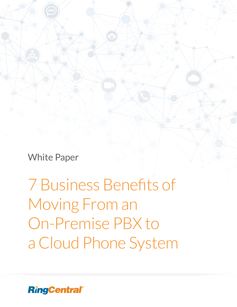White Paper

7 Business Benefits of Moving From an On-Premise PBX to a Cloud Phone System

**RingCentral®**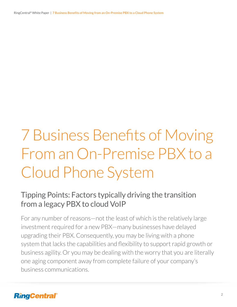RingCentral® White Paper | **7 Business Benefits of Moving from an On-Premise PBX to a Cloud Phone System**

# 7 Business Benefits of Moving From an On-Premise PBX to a Cloud Phone System

# Tipping Points: Factors typically driving the transition from a legacy PBX to cloud VoIP

For any number of reasons—not the least of which is the relatively large investment required for a new PBX—many businesses have delayed upgrading their PBX. Consequently, you may be living with a phone system that lacks the capabilities and flexibility to support rapid growth or business agility. Or you may be dealing with the worry that you are literally one aging component away from complete failure of your company's business communications.

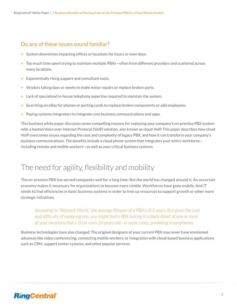#### Do any of these issues sound familiar?

- System downtimes impacting offices or locations for hours or even days.
- Too much time spent trying to maintain multiple PBXs—often from different providers and scattered across many locations.
- Exponentially rising support and consultant costs.
- Vendors taking days or weeks to make minor repairs or replace broken parts.
- Lack of specialized in-house telephony expertise required to maintain the system.
- Searching on eBay for phones or porting cards to replace broken components or add employees.
- Paying systems integrators to integrate core business communications and apps.

This business white paper discusses seven compelling reasons for replacing your company's on-premise PBX system with a hosted Voice over Internet Protocol (VoIP) solution, also known as cloud VoIP. This paper describes how cloud VoIP overcomes issues regarding the cost and complexity of legacy PBX, and how it can transform your company's business communications. The benefits include a cloud phone system that integrates your entire workforce including remote and mobile workers—as well as your critical business systems.

# The need for agility, flexibility and mobility

The on-premise PBX has served companies well for a long time. But the world has changed around it. An uncertain economy makes it necessary for organizations to become more nimble. Workforces have gone mobile. And IT needs to find efficiencies in basic business systems in order to free up resources to support growth or other more strategic initiatives.

*According to "Network World," the average lifespan of a PBX is 8.5 years. But given the cost and difficulty of replacing one, you might find a PBX lurking in a back closet at one or more of your locations that's 10 or even 20 years old—in some cases, predating smartphones.*

Business technologies have also changed. The original designers of your current PBX may never have envisioned advances like video conferencing, connecting mobile workers, or integration with cloud-based business applications such as CRM, support center systems, and other popular services.

## **RingCentral**®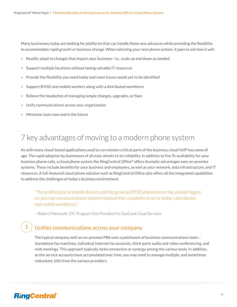Many businesses today are looking for platforms that can handle these new advances while providing the flexibility to accommodate rapid growth or business change. When selecting your next phone system, it pays to ask how it will:

- Readily adapt to changes that impact your business—i.e., scale up and down as needed
- Support multiple locations without taxing valuable IT resources
- Provide the flexibility you need today and meet future needs yet to be identified
- Support BYOD and mobile workers along with a distributed workforce
- Relieve the headaches of managing simple changes, upgrades, or fixes
- Unify communications across your organization
- Minimize costs now and in the future

# 7 key advantages of moving to a modern phone system

As with many cloud-based applications used to run mission-critical parts of the business, cloud VoIP has come of age. The rapid adoption by businesses of all sizes attests to its reliability. In addition to five 9s availability for your business phone calls, a cloud phone system like RingCentral Office® offers dramatic advantages over on-premise systems. These include benefits for your business and employees, as well as your network, data infrastructure, and IT resources. A full-featured cloud phone solution such as RingCentral Office also offers all the integrated capabilities to address the challenges of today's business environment.

*"The proliferation of mobile devices and the growing BYOD phenomenon has pushed legacy on-premise communications systems beyond their capability to serve today's distributed and mobile workforces."*

– Robert Mahowald, IDC Program Vice President for SaaS and Cloud Services

#### Unifies communications across your company

The typical company with an on-premise PBX uses a patchwork of business communications tools standalone fax machines, individual Internet fax accounts, third-party audio and video conferencing, and web meetings. This approach typically lacks connection or synergy among the various tools. In addition, as the service accounts have accumulated over time, you may need to manage multiple, and sometimes redundant, bills from the various providers.

## **RingCentral**®

1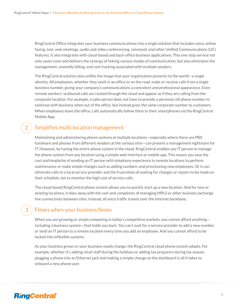RingCentral Office integrates your business communications into a single solution that includes voice, online faxing, text, web meetings, audio and video conferencing, voicemail, and other Unified Communications (UC) features. It also integrates with cloud-based and back-office business applications. This one-stop service not only saves costs and delivers the synergy of linking various modes of communication, but also eliminates the management, unwieldy billing, and cost tracking associated with multiple vendors.

The RingCentral solution also unifies the image that your organization presents to the world—a single identity. All employees, whether they work in an office or on the road, make or receive calls from a single business number, giving your company's communications a consistent and professional appearance. Even remote workers' outbound calls are routed through the cloud and appear as if they are calling from the corporate location. For example, a sales person does not have to provide a personal cell phone number to continue with business when out of the office, but instead gives the same corporate number to customers. When employees leave the office, calls automatically follow them to their smartphones via the RingCentral Mobile App.

#### Simplifies multi-location management

Maintaining and administering phone systems at multiple locations—especially where there are PBX hardware and phones from different vendors at the various sites—can present a management nightmare for IT. However, by having the entire phone system in the cloud, RingCentral enables any IT person to manage the phone system from any location using a simple web interface or mobile app. This means you save the cost and headache of sending an IT person with telephony experience to remote locations to perform maintenance or make simple changes such as adding numbers and provisioning new employees. Or it can eliminate calls to a local service provider and the frustration of waiting for changes or repairs to be made on their schedule, not to mention the high cost of service calls.

The cloud-based RingCentral phone system allows you to quickly start up a new location. And for new or existing locations, it does away with the cost and complexity of managing MPLS or other business exchange line connectivity between sites. Instead, all voice traffic travels over the Internet backbone.

#### Flexes when your business flexes

When you are growing or simply competing in today's competitive markets, you cannot afford anythingincluding a business system—that holds you back. You can't wait for a service provider to add a new number, or send an IT person to a remote location every time you add an employee. And you cannot afford to be locked into inflexible systems.

As your business grows or your business needs change, the RingCentral cloud phone system adapts. For example, whether it's adding retail staff during the holidays or adding tax preparers during tax season, plugging a phone into an Ethernet jack and making a simple change on the dashboard is all it takes to onboard a new phone user.

## **RingCentral®**

2

3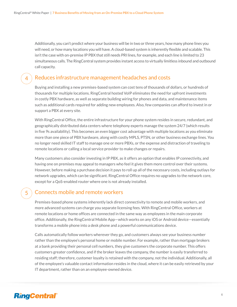Additionally, you can't predict where your business will be in two or three years, how many phone lines you will need, or how many locations you will have. A cloud-based system is inherently flexible and scalable. This isn't the case with on-premise IP PBX that still needs PRI lines, for example, and each line is limited to 23 simultaneous calls. The RingCentral system provides instant access to virtually limitless inbound and outbound call capacity.

#### Reduces infrastructure management headaches and costs

Buying and installing a new premises-based system can cost tens of thousands of dollars, or hundreds of thousands for multiple locations. RingCentral hosted VoIP eliminates the need for upfront investments in costly PBX hardware, as well as separate building wiring for phones and data, and maintenance items such as additional cards required for adding new employees. Also, few companies can afford to invest in or support a PBX at every site.

With RingCentral Office, the entire infrastructure for your phone system resides in secure, redundant, and geographically distributed data centers where telephony experts manage the system 24/7 (which results in five 9s availability). This becomes an even bigger cost advantage with multiple locations as you eliminate more than one piece of PBX hardware, along with costly MPLS, PTSN, or other business exchange lines. You no longer need skilled IT staff to manage one or more PBXs, or the expense and distraction of traveling to remote locations or calling a local service provider to make changes or repairs.

Many customers also consider investing in IP PBX, as it offers an option that enables IP connectivity, and having one on premises may appeal to managers who feel it gives them more control over their systems. However, before making a purchase decision it pays to roll up all of the necessary costs, including outlays for network upgrades, which can be significant. RingCentral Office requires no upgrades to the network core, except for a QoS-enabled router where one is not already installed.

#### Connects mobile and remote workers

Premises-based phone systems inherently lack direct connectivity to remote and mobile workers, and more advanced systems can charge you separate licensing fees. With RingCentral Office, workers at remote locations or home offices are connected in the same way as employees in the main corporate office. Additionally, the RingCentral Mobile App—which works on any iOS or Android device—essentially transforms a mobile phone into a desk phone and a powerful communications device.

Calls automatically follow workers wherever they go, and customers always see your business number rather than the employee's personal home or mobile number. For example, rather than mortgage brokers at a bank providing their personal cell numbers, they give customers the corporate number. This offers customers greater confidence, and if the broker leaves the company, the number is easily transferred to residing staff; therefore, customer loyalty is retained with the company, not the individual. Additionally, all of the employee's valuable contact information resides in the cloud, where it can be easily retrieved by your IT department, rather than on an employee-owned device.

## **RingCentral®**

4

5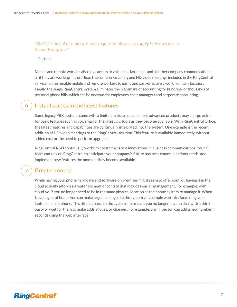#### *"By 2017 half of all employers will require employees to supply their own device for work purposes."*

– Gartner

6

7

Mobile and remote workers also have access to voicemail, fax, email, and all other company communications as if they are working in the office. The conference calling and HD video meetings included in the RingCentral service further enable mobile and remote workers to easily and cost-effectively work from any location. Finally, the single RingCentral system eliminates the nightmare of accounting for hundreds or thousands of personal phone bills, which can be onerous for employees, their managers and corporate accounting.

#### Instant access to the latest features

Some legacy PBX systems come with a limited feature set, and more advanced products may charge extra for basic features such as voicemail or the latest UC tools as they become available. With RingCentral Office, the latest features and capabilities are continually integrated into the system. One example is the recent addition of HD video meetings to the RingCentral solution. This feature is available immediately, without added cost or the need to perform upgrades.

RingCentral R&D continually works to create the latest innovations in business communications. Your IT team can rely on RingCentral to anticipate your company's future business communications needs, and implement new features the moment they become available.

#### Greater control

While having your phone hardware and software on premises might seem to offer control, having it in the cloud actually affords a greater element of control that includes easier management. For example, with cloud VoIP, you no longer need to be in the same physical location as the phone system to manage it. When traveling or at home, you can make urgent changes to the system via a simple web interface using your laptop or smartphone. This direct access to the system also means you no longer have to deal with a third party or wait for them to make adds, moves, or changes. For example, any IT person can add a new number in seconds using the web interface.

## **RingCentral**®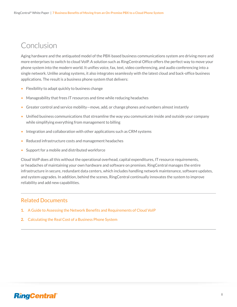# Conclusion

Aging hardware and the antiquated model of the PBX-based business communications system are driving more and more enterprises to switch to cloud VoIP. A solution such as RingCentral Office offers the perfect way to move your phone system into the modern world. It unifies voice, fax, text, video conferencing, and audio conferencing into a single network. Unlike analog systems, it also integrates seamlessly with the latest cloud and back-office business applications. The result is a business phone system that delivers:

- Flexibility to adapt quickly to business change
- Manageability that frees IT resources and time while reducing headaches
- Greater control and service mobility—move, add, or change phones and numbers almost instantly
- Unified business communications that streamline the way you communicate inside and outside your company while simplifying everything from management to billing
- Integration and collaboration with other applications such as CRM systems
- Reduced infrastructure costs and management headaches
- Support for a mobile and distributed workforce

Cloud VoIP does all this without the operational overhead, capital expenditures, IT resource requirements, or headaches of maintaining your own hardware and software on premises. RingCentral manages the entire infrastructure in secure, redundant data centers, which includes handling network maintenance, software updates, and system upgrades. In addition, behind the scenes, RingCentral continually innovates the system to improve reliability and add new capabilities.

#### Related Documents

- **1.** [A Guide to Assessing the Network Benefits and Requirements of Cloud VoIP](http://netstorage.ringcentral.com/documents/network_benefits_cloud_voip.pdf)
- **2.** [Calculating the Real Cost of a Business Phone System](http://netstorage.ringcentral.com/documents/calculating_real_cost_phone_system.pdf)